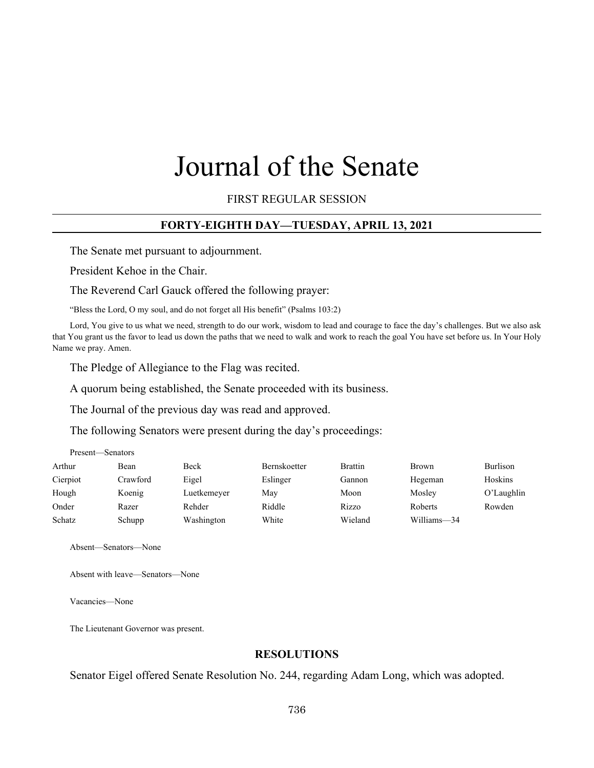# Journal of the Senate

FIRST REGULAR SESSION

#### **FORTY-EIGHTH DAY—TUESDAY, APRIL 13, 2021**

The Senate met pursuant to adjournment.

President Kehoe in the Chair.

The Reverend Carl Gauck offered the following prayer:

"Bless the Lord, O my soul, and do not forget all His benefit" (Psalms 103:2)

Lord, You give to us what we need, strength to do our work, wisdom to lead and courage to face the day's challenges. But we also ask that You grant us the favor to lead us down the paths that we need to walk and work to reach the goal You have set before us. In Your Holy Name we pray. Amen.

The Pledge of Allegiance to the Flag was recited.

A quorum being established, the Senate proceeded with its business.

The Journal of the previous day was read and approved.

The following Senators were present during the day's proceedings:

| Arthur   | Bean     | Beck        | Bernskoetter | <b>Brattin</b> | Brown       | Burlison      |
|----------|----------|-------------|--------------|----------------|-------------|---------------|
| Cierpiot | Crawford | Eigel       | Eslinger     | Gannon         | Hegeman     | Hoskins       |
| Hough    | Koenig   | Luetkemeyer | May          | Moon           | Mosley      | $O'$ Laughlin |
| Onder    | Razer    | Rehder      | Riddle       | Rizzo          | Roberts     | Rowden        |
| Schatz   | Schupp   | Washington  | White        | Wieland        | Williams-34 |               |
|          |          |             |              |                |             |               |

Absent—Senators—None

Absent with leave—Senators—None

Vacancies—None

Present—Senators

The Lieutenant Governor was present.

#### **RESOLUTIONS**

Senator Eigel offered Senate Resolution No. 244, regarding Adam Long, which was adopted.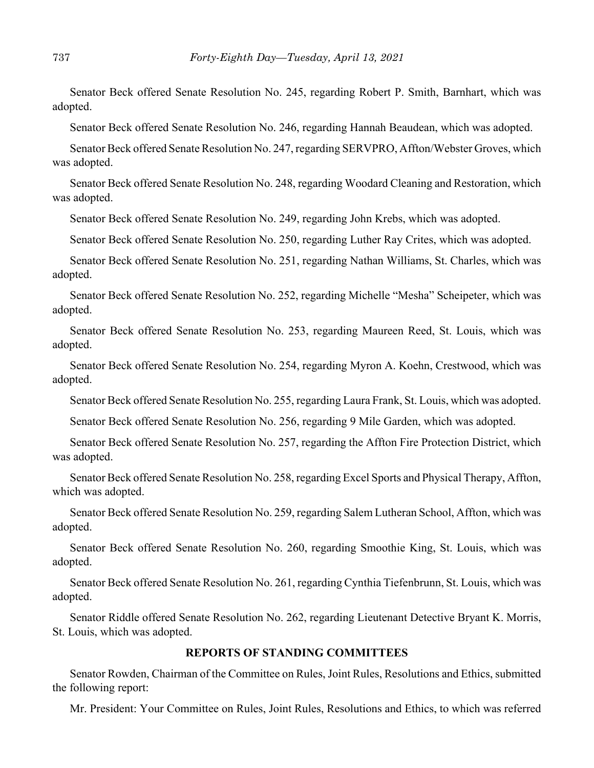Senator Beck offered Senate Resolution No. 245, regarding Robert P. Smith, Barnhart, which was adopted.

Senator Beck offered Senate Resolution No. 246, regarding Hannah Beaudean, which was adopted.

Senator Beck offered Senate Resolution No. 247, regarding SERVPRO, Affton/Webster Groves, which was adopted.

Senator Beck offered Senate Resolution No. 248, regarding Woodard Cleaning and Restoration, which was adopted.

Senator Beck offered Senate Resolution No. 249, regarding John Krebs, which was adopted.

Senator Beck offered Senate Resolution No. 250, regarding Luther Ray Crites, which was adopted.

Senator Beck offered Senate Resolution No. 251, regarding Nathan Williams, St. Charles, which was adopted.

Senator Beck offered Senate Resolution No. 252, regarding Michelle "Mesha" Scheipeter, which was adopted.

Senator Beck offered Senate Resolution No. 253, regarding Maureen Reed, St. Louis, which was adopted.

Senator Beck offered Senate Resolution No. 254, regarding Myron A. Koehn, Crestwood, which was adopted.

Senator Beck offered Senate Resolution No. 255, regarding Laura Frank, St. Louis, which was adopted.

Senator Beck offered Senate Resolution No. 256, regarding 9 Mile Garden, which was adopted.

Senator Beck offered Senate Resolution No. 257, regarding the Affton Fire Protection District, which was adopted.

Senator Beck offered Senate Resolution No. 258, regarding Excel Sports and Physical Therapy, Affton, which was adopted.

Senator Beck offered Senate Resolution No. 259, regarding Salem Lutheran School, Affton, which was adopted.

Senator Beck offered Senate Resolution No. 260, regarding Smoothie King, St. Louis, which was adopted.

Senator Beck offered Senate Resolution No. 261, regarding Cynthia Tiefenbrunn, St. Louis, which was adopted.

Senator Riddle offered Senate Resolution No. 262, regarding Lieutenant Detective Bryant K. Morris, St. Louis, which was adopted.

# **REPORTS OF STANDING COMMITTEES**

Senator Rowden, Chairman of the Committee on Rules, Joint Rules, Resolutions and Ethics, submitted the following report:

Mr. President: Your Committee on Rules, Joint Rules, Resolutions and Ethics, to which was referred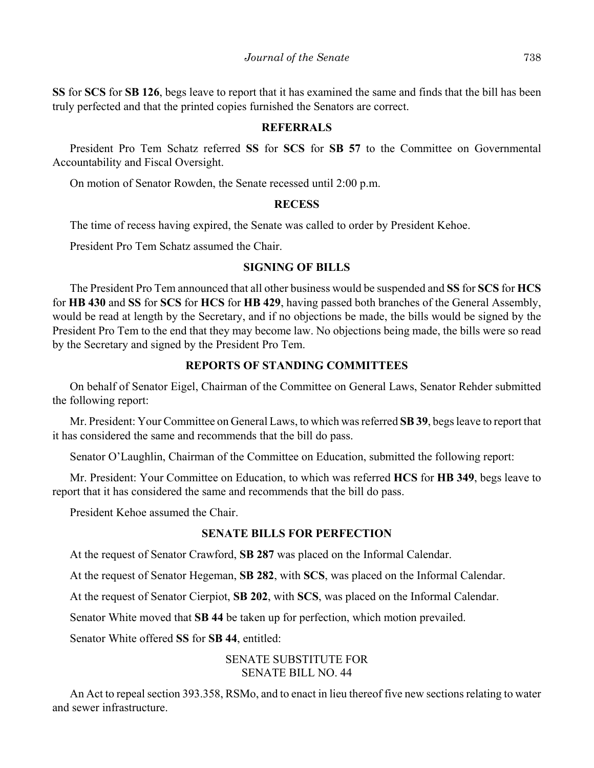**SS** for **SCS** for **SB 126**, begs leave to report that it has examined the same and finds that the bill has been truly perfected and that the printed copies furnished the Senators are correct.

#### **REFERRALS**

President Pro Tem Schatz referred **SS** for **SCS** for **SB 57** to the Committee on Governmental Accountability and Fiscal Oversight.

On motion of Senator Rowden, the Senate recessed until 2:00 p.m.

#### **RECESS**

The time of recess having expired, the Senate was called to order by President Kehoe.

President Pro Tem Schatz assumed the Chair.

# **SIGNING OF BILLS**

The President Pro Tem announced that all other business would be suspended and **SS** for **SCS** for **HCS** for **HB 430** and **SS** for **SCS** for **HCS** for **HB 429**, having passed both branches of the General Assembly, would be read at length by the Secretary, and if no objections be made, the bills would be signed by the President Pro Tem to the end that they may become law. No objections being made, the bills were so read by the Secretary and signed by the President Pro Tem.

# **REPORTS OF STANDING COMMITTEES**

On behalf of Senator Eigel, Chairman of the Committee on General Laws, Senator Rehder submitted the following report:

Mr. President: Your Committee on General Laws, to which was referred **SB 39**, begs leave to report that it has considered the same and recommends that the bill do pass.

Senator O'Laughlin, Chairman of the Committee on Education, submitted the following report:

Mr. President: Your Committee on Education, to which was referred **HCS** for **HB 349**, begs leave to report that it has considered the same and recommends that the bill do pass.

President Kehoe assumed the Chair.

# **SENATE BILLS FOR PERFECTION**

At the request of Senator Crawford, **SB 287** was placed on the Informal Calendar.

At the request of Senator Hegeman, **SB 282**, with **SCS**, was placed on the Informal Calendar.

At the request of Senator Cierpiot, **SB 202**, with **SCS**, was placed on the Informal Calendar.

Senator White moved that **SB 44** be taken up for perfection, which motion prevailed.

Senator White offered **SS** for **SB 44**, entitled:

# SENATE SUBSTITUTE FOR SENATE BILL NO. 44

An Act to repeal section 393.358, RSMo, and to enact in lieu thereof five new sections relating to water and sewer infrastructure.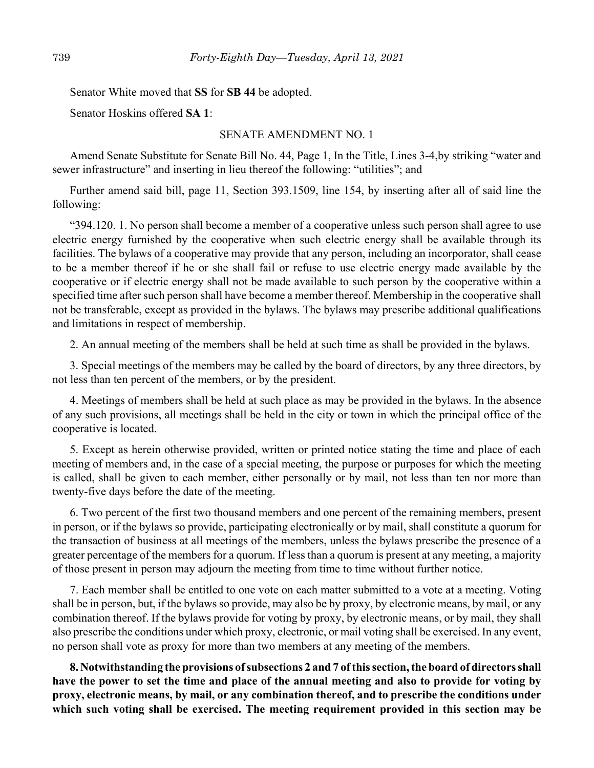Senator White moved that **SS** for **SB 44** be adopted.

Senator Hoskins offered **SA 1**:

#### SENATE AMENDMENT NO. 1

Amend Senate Substitute for Senate Bill No. 44, Page 1, In the Title, Lines 3-4,by striking "water and sewer infrastructure" and inserting in lieu thereof the following: "utilities"; and

Further amend said bill, page 11, Section 393.1509, line 154, by inserting after all of said line the following:

"394.120. 1. No person shall become a member of a cooperative unless such person shall agree to use electric energy furnished by the cooperative when such electric energy shall be available through its facilities. The bylaws of a cooperative may provide that any person, including an incorporator, shall cease to be a member thereof if he or she shall fail or refuse to use electric energy made available by the cooperative or if electric energy shall not be made available to such person by the cooperative within a specified time after such person shall have become a member thereof. Membership in the cooperative shall not be transferable, except as provided in the bylaws. The bylaws may prescribe additional qualifications and limitations in respect of membership.

2. An annual meeting of the members shall be held at such time as shall be provided in the bylaws.

3. Special meetings of the members may be called by the board of directors, by any three directors, by not less than ten percent of the members, or by the president.

4. Meetings of members shall be held at such place as may be provided in the bylaws. In the absence of any such provisions, all meetings shall be held in the city or town in which the principal office of the cooperative is located.

5. Except as herein otherwise provided, written or printed notice stating the time and place of each meeting of members and, in the case of a special meeting, the purpose or purposes for which the meeting is called, shall be given to each member, either personally or by mail, not less than ten nor more than twenty-five days before the date of the meeting.

6. Two percent of the first two thousand members and one percent of the remaining members, present in person, or if the bylaws so provide, participating electronically or by mail, shall constitute a quorum for the transaction of business at all meetings of the members, unless the bylaws prescribe the presence of a greater percentage of the members for a quorum. If less than a quorum is present at any meeting, a majority of those present in person may adjourn the meeting from time to time without further notice.

7. Each member shall be entitled to one vote on each matter submitted to a vote at a meeting. Voting shall be in person, but, if the bylaws so provide, may also be by proxy, by electronic means, by mail, or any combination thereof. If the bylaws provide for voting by proxy, by electronic means, or by mail, they shall also prescribe the conditions under which proxy, electronic, or mail voting shall be exercised. In any event, no person shall vote as proxy for more than two members at any meeting of the members.

**8. Notwithstanding the provisions of subsections 2 and 7 of this section, the board of directors shall have the power to set the time and place of the annual meeting and also to provide for voting by proxy, electronic means, by mail, or any combination thereof, and to prescribe the conditions under which such voting shall be exercised. The meeting requirement provided in this section may be**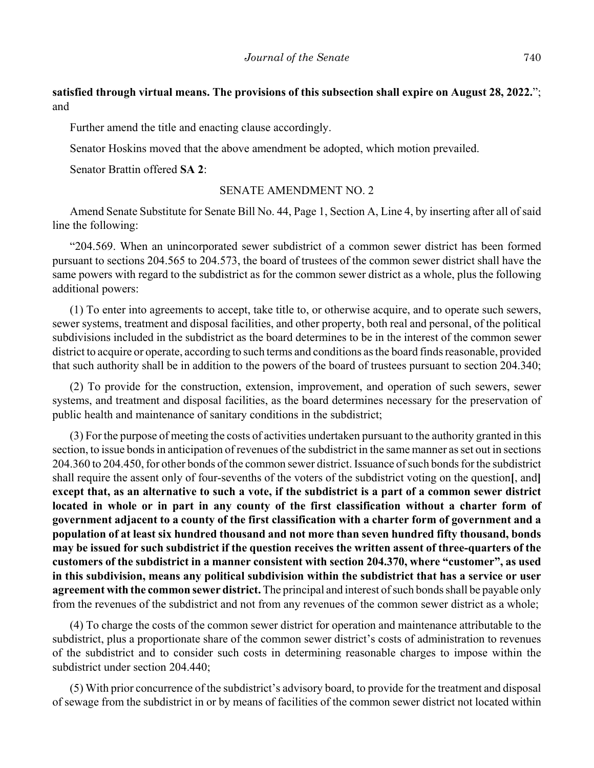# **satisfied through virtual means. The provisions of this subsection shall expire on August 28, 2022.**"; and

Further amend the title and enacting clause accordingly.

Senator Hoskins moved that the above amendment be adopted, which motion prevailed.

Senator Brattin offered **SA 2**:

#### SENATE AMENDMENT NO. 2

Amend Senate Substitute for Senate Bill No. 44, Page 1, Section A, Line 4, by inserting after all of said line the following:

"204.569. When an unincorporated sewer subdistrict of a common sewer district has been formed pursuant to sections 204.565 to 204.573, the board of trustees of the common sewer district shall have the same powers with regard to the subdistrict as for the common sewer district as a whole, plus the following additional powers:

(1) To enter into agreements to accept, take title to, or otherwise acquire, and to operate such sewers, sewer systems, treatment and disposal facilities, and other property, both real and personal, of the political subdivisions included in the subdistrict as the board determines to be in the interest of the common sewer district to acquire or operate, according to such terms and conditions as the board finds reasonable, provided that such authority shall be in addition to the powers of the board of trustees pursuant to section 204.340;

(2) To provide for the construction, extension, improvement, and operation of such sewers, sewer systems, and treatment and disposal facilities, as the board determines necessary for the preservation of public health and maintenance of sanitary conditions in the subdistrict;

(3) For the purpose of meeting the costs of activities undertaken pursuant to the authority granted in this section, to issue bonds in anticipation of revenues of the subdistrict in the same manner as set out in sections 204.360 to 204.450, for other bonds of the common sewer district. Issuance of such bonds for the subdistrict shall require the assent only of four-sevenths of the voters of the subdistrict voting on the question**[**, and**] except that, as an alternative to such a vote, if the subdistrict is a part of a common sewer district located in whole or in part in any county of the first classification without a charter form of government adjacent to a county of the first classification with a charter form of government and a population of at least six hundred thousand and not more than seven hundred fifty thousand, bonds may be issued for such subdistrict if the question receives the written assent of three-quarters of the customers of the subdistrict in a manner consistent with section 204.370, where "customer", as used in this subdivision, means any political subdivision within the subdistrict that has a service or user agreement with the common sewer district.** The principal and interest of such bonds shall be payable only from the revenues of the subdistrict and not from any revenues of the common sewer district as a whole;

(4) To charge the costs of the common sewer district for operation and maintenance attributable to the subdistrict, plus a proportionate share of the common sewer district's costs of administration to revenues of the subdistrict and to consider such costs in determining reasonable charges to impose within the subdistrict under section 204.440;

(5) With prior concurrence of the subdistrict's advisory board, to provide for the treatment and disposal of sewage from the subdistrict in or by means of facilities of the common sewer district not located within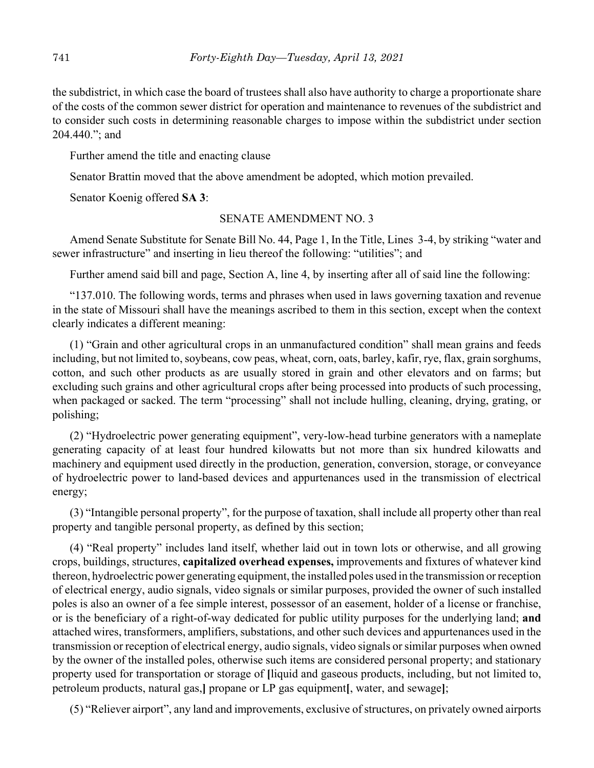the subdistrict, in which case the board of trustees shall also have authority to charge a proportionate share of the costs of the common sewer district for operation and maintenance to revenues of the subdistrict and to consider such costs in determining reasonable charges to impose within the subdistrict under section 204.440."; and

Further amend the title and enacting clause

Senator Brattin moved that the above amendment be adopted, which motion prevailed.

Senator Koenig offered **SA 3**:

# SENATE AMENDMENT NO. 3

Amend Senate Substitute for Senate Bill No. 44, Page 1, In the Title, Lines 3-4, by striking "water and sewer infrastructure" and inserting in lieu thereof the following: "utilities"; and

Further amend said bill and page, Section A, line 4, by inserting after all of said line the following:

"137.010. The following words, terms and phrases when used in laws governing taxation and revenue in the state of Missouri shall have the meanings ascribed to them in this section, except when the context clearly indicates a different meaning:

(1) "Grain and other agricultural crops in an unmanufactured condition" shall mean grains and feeds including, but not limited to, soybeans, cow peas, wheat, corn, oats, barley, kafir, rye, flax, grain sorghums, cotton, and such other products as are usually stored in grain and other elevators and on farms; but excluding such grains and other agricultural crops after being processed into products of such processing, when packaged or sacked. The term "processing" shall not include hulling, cleaning, drying, grating, or polishing;

(2) "Hydroelectric power generating equipment", very-low-head turbine generators with a nameplate generating capacity of at least four hundred kilowatts but not more than six hundred kilowatts and machinery and equipment used directly in the production, generation, conversion, storage, or conveyance of hydroelectric power to land-based devices and appurtenances used in the transmission of electrical energy;

(3) "Intangible personal property", for the purpose of taxation, shall include all property other than real property and tangible personal property, as defined by this section;

(4) "Real property" includes land itself, whether laid out in town lots or otherwise, and all growing crops, buildings, structures, **capitalized overhead expenses,** improvements and fixtures of whatever kind thereon, hydroelectric power generating equipment, the installed poles used in the transmission or reception of electrical energy, audio signals, video signals or similar purposes, provided the owner of such installed poles is also an owner of a fee simple interest, possessor of an easement, holder of a license or franchise, or is the beneficiary of a right-of-way dedicated for public utility purposes for the underlying land; **and** attached wires, transformers, amplifiers, substations, and other such devices and appurtenances used in the transmission or reception of electrical energy, audio signals, video signals or similar purposes when owned by the owner of the installed poles, otherwise such items are considered personal property; and stationary property used for transportation or storage of **[**liquid and gaseous products, including, but not limited to, petroleum products, natural gas,**]** propane or LP gas equipment**[**, water, and sewage**]**;

(5) "Reliever airport", any land and improvements, exclusive of structures, on privately owned airports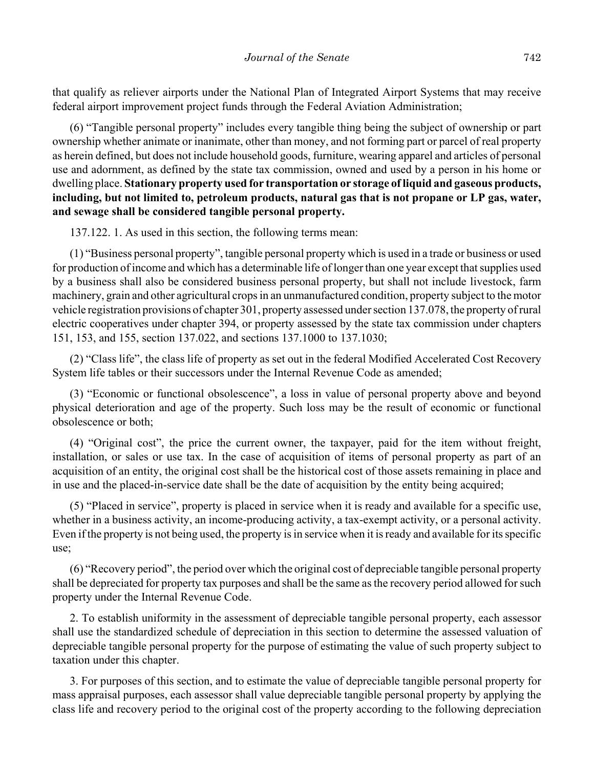that qualify as reliever airports under the National Plan of Integrated Airport Systems that may receive federal airport improvement project funds through the Federal Aviation Administration;

(6) "Tangible personal property" includes every tangible thing being the subject of ownership or part ownership whether animate or inanimate, other than money, and not forming part or parcel of real property as herein defined, but does not include household goods, furniture, wearing apparel and articles of personal use and adornment, as defined by the state tax commission, owned and used by a person in his home or dwelling place. **Stationary property used for transportation or storage of liquid and gaseous products, including, but not limited to, petroleum products, natural gas that is not propane or LP gas, water, and sewage shall be considered tangible personal property.**

137.122. 1. As used in this section, the following terms mean:

(1) "Business personal property", tangible personal property which is used in a trade or business or used for production of income and which has a determinable life of longer than one year except that supplies used by a business shall also be considered business personal property, but shall not include livestock, farm machinery, grain and other agricultural crops in an unmanufactured condition, property subject to the motor vehicle registration provisions of chapter 301, property assessed under section 137.078, the property of rural electric cooperatives under chapter 394, or property assessed by the state tax commission under chapters 151, 153, and 155, section 137.022, and sections 137.1000 to 137.1030;

(2) "Class life", the class life of property as set out in the federal Modified Accelerated Cost Recovery System life tables or their successors under the Internal Revenue Code as amended;

(3) "Economic or functional obsolescence", a loss in value of personal property above and beyond physical deterioration and age of the property. Such loss may be the result of economic or functional obsolescence or both;

(4) "Original cost", the price the current owner, the taxpayer, paid for the item without freight, installation, or sales or use tax. In the case of acquisition of items of personal property as part of an acquisition of an entity, the original cost shall be the historical cost of those assets remaining in place and in use and the placed-in-service date shall be the date of acquisition by the entity being acquired;

(5) "Placed in service", property is placed in service when it is ready and available for a specific use, whether in a business activity, an income-producing activity, a tax-exempt activity, or a personal activity. Even if the property is not being used, the property is in service when it is ready and available for its specific use;

(6) "Recovery period", the period over which the original cost of depreciable tangible personal property shall be depreciated for property tax purposes and shall be the same as the recovery period allowed for such property under the Internal Revenue Code.

2. To establish uniformity in the assessment of depreciable tangible personal property, each assessor shall use the standardized schedule of depreciation in this section to determine the assessed valuation of depreciable tangible personal property for the purpose of estimating the value of such property subject to taxation under this chapter.

3. For purposes of this section, and to estimate the value of depreciable tangible personal property for mass appraisal purposes, each assessor shall value depreciable tangible personal property by applying the class life and recovery period to the original cost of the property according to the following depreciation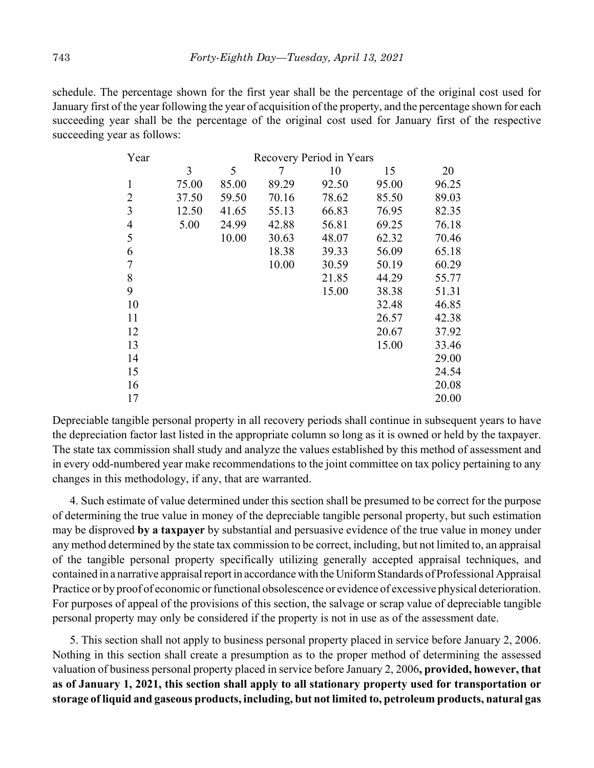schedule. The percentage shown for the first year shall be the percentage of the original cost used for January first of the year following the year of acquisition of the property, and the percentage shown for each succeeding year shall be the percentage of the original cost used for January first of the respective succeeding year as follows:

| Year           |       |       |       | Recovery Period in Years |       |       |
|----------------|-------|-------|-------|--------------------------|-------|-------|
|                | 3     | 5     |       | 10                       | 15    | 20    |
| 1              | 75.00 | 85.00 | 89.29 | 92.50                    | 95.00 | 96.25 |
| 2              | 37.50 | 59.50 | 70.16 | 78.62                    | 85.50 | 89.03 |
| 3              | 12.50 | 41.65 | 55.13 | 66.83                    | 76.95 | 82.35 |
| $\overline{4}$ | 5.00  | 24.99 | 42.88 | 56.81                    | 69.25 | 76.18 |
| 5              |       | 10.00 | 30.63 | 48.07                    | 62.32 | 70.46 |
| 6              |       |       | 18.38 | 39.33                    | 56.09 | 65.18 |
| 7              |       |       | 10.00 | 30.59                    | 50.19 | 60.29 |
| 8              |       |       |       | 21.85                    | 44.29 | 55.77 |
| 9              |       |       |       | 15.00                    | 38.38 | 51.31 |
| 10             |       |       |       |                          | 32.48 | 46.85 |
| 11             |       |       |       |                          | 26.57 | 42.38 |
| 12             |       |       |       |                          | 20.67 | 37.92 |
| 13             |       |       |       |                          | 15.00 | 33.46 |
| 14             |       |       |       |                          |       | 29.00 |
| 15             |       |       |       |                          |       | 24.54 |
| 16             |       |       |       |                          |       | 20.08 |
| 17             |       |       |       |                          |       | 20.00 |

Depreciable tangible personal property in all recovery periods shall continue in subsequent years to have the depreciation factor last listed in the appropriate column so long as it is owned or held by the taxpayer. The state tax commission shall study and analyze the values established by this method of assessment and in every odd-numbered year make recommendations to the joint committee on tax policy pertaining to any changes in this methodology, if any, that are warranted.

4. Such estimate of value determined under this section shall be presumed to be correct for the purpose of determining the true value in money of the depreciable tangible personal property, but such estimation may be disproved **by a taxpayer** by substantial and persuasive evidence of the true value in money under any method determined by the state tax commission to be correct, including, but not limited to, an appraisal of the tangible personal property specifically utilizing generally accepted appraisal techniques, and contained in a narrative appraisal report in accordance with the Uniform Standards of Professional Appraisal Practice or by proof of economic or functional obsolescence or evidence of excessive physical deterioration. For purposes of appeal of the provisions of this section, the salvage or scrap value of depreciable tangible personal property may only be considered if the property is not in use as of the assessment date.

5. This section shall not apply to business personal property placed in service before January 2, 2006. Nothing in this section shall create a presumption as to the proper method of determining the assessed valuation of business personal property placed in service before January 2, 2006**, provided, however, that as of January 1, 2021, this section shall apply to all stationary property used for transportation or storage of liquid and gaseous products, including, but not limited to, petroleum products, natural gas**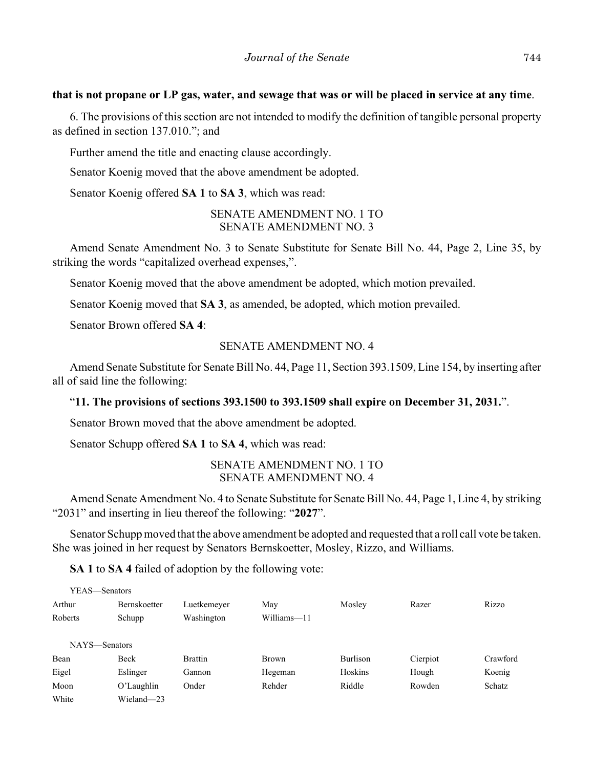#### **that is not propane or LP gas, water, and sewage that was or will be placed in service at any time**.

6. The provisions of this section are not intended to modify the definition of tangible personal property as defined in section 137.010."; and

Further amend the title and enacting clause accordingly.

Senator Koenig moved that the above amendment be adopted.

Senator Koenig offered **SA 1** to **SA 3**, which was read:

# SENATE AMENDMENT NO. 1 TO SENATE AMENDMENT NO. 3

Amend Senate Amendment No. 3 to Senate Substitute for Senate Bill No. 44, Page 2, Line 35, by striking the words "capitalized overhead expenses,".

Senator Koenig moved that the above amendment be adopted, which motion prevailed.

Senator Koenig moved that **SA 3**, as amended, be adopted, which motion prevailed.

Senator Brown offered **SA 4**:

#### SENATE AMENDMENT NO. 4

Amend Senate Substitute for Senate Bill No. 44, Page 11, Section 393.1509, Line 154, by inserting after all of said line the following:

# "**11. The provisions of sections 393.1500 to 393.1509 shall expire on December 31, 2031.**".

Senator Brown moved that the above amendment be adopted.

Senator Schupp offered **SA 1** to **SA 4**, which was read:

SENATE AMENDMENT NO. 1 TO SENATE AMENDMENT NO. 4

Amend Senate Amendment No. 4 to Senate Substitute for Senate Bill No. 44, Page 1, Line 4, by striking "2031" and inserting in lieu thereof the following: "**2027**".

Senator Schupp moved that the above amendment be adopted and requested that a roll call vote be taken. She was joined in her request by Senators Bernskoetter, Mosley, Rizzo, and Williams.

**SA 1** to **SA 4** failed of adoption by the following vote:

|         | YEAS—Senators |                |              |          |          |          |
|---------|---------------|----------------|--------------|----------|----------|----------|
| Arthur  | Bernskoetter  | Luetkemeyer    | May          | Mosley   | Razer    | Rizzo    |
| Roberts | Schupp        | Washington     | Williams-11  |          |          |          |
|         | NAYS—Senators |                |              |          |          |          |
| Bean    | Beck          | <b>Brattin</b> | <b>Brown</b> | Burlison | Cierpiot | Crawford |
| Eigel   | Eslinger      | Gannon         | Hegeman      | Hoskins  | Hough    | Koenig   |
| Moon    | $O'$ Laughlin | Onder          | Rehder       | Riddle   | Rowden   | Schatz   |
| White   | Wieland-23    |                |              |          |          |          |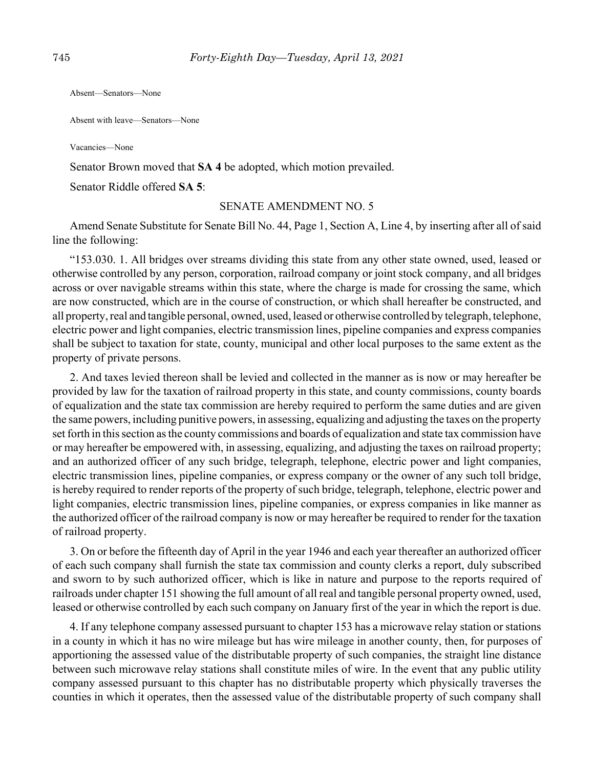Absent—Senators—None

Absent with leave—Senators—None

Vacancies—None

Senator Brown moved that **SA 4** be adopted, which motion prevailed.

Senator Riddle offered **SA 5**:

#### SENATE AMENDMENT NO. 5

Amend Senate Substitute for Senate Bill No. 44, Page 1, Section A, Line 4, by inserting after all of said line the following:

"153.030. 1. All bridges over streams dividing this state from any other state owned, used, leased or otherwise controlled by any person, corporation, railroad company or joint stock company, and all bridges across or over navigable streams within this state, where the charge is made for crossing the same, which are now constructed, which are in the course of construction, or which shall hereafter be constructed, and all property, real and tangible personal, owned, used, leased or otherwise controlled by telegraph, telephone, electric power and light companies, electric transmission lines, pipeline companies and express companies shall be subject to taxation for state, county, municipal and other local purposes to the same extent as the property of private persons.

2. And taxes levied thereon shall be levied and collected in the manner as is now or may hereafter be provided by law for the taxation of railroad property in this state, and county commissions, county boards of equalization and the state tax commission are hereby required to perform the same duties and are given the same powers, including punitive powers, in assessing, equalizing and adjusting the taxes on the property set forth in this section as the county commissions and boards of equalization and state tax commission have or may hereafter be empowered with, in assessing, equalizing, and adjusting the taxes on railroad property; and an authorized officer of any such bridge, telegraph, telephone, electric power and light companies, electric transmission lines, pipeline companies, or express company or the owner of any such toll bridge, is hereby required to render reports of the property of such bridge, telegraph, telephone, electric power and light companies, electric transmission lines, pipeline companies, or express companies in like manner as the authorized officer of the railroad company is now or may hereafter be required to render for the taxation of railroad property.

3. On or before the fifteenth day of April in the year 1946 and each year thereafter an authorized officer of each such company shall furnish the state tax commission and county clerks a report, duly subscribed and sworn to by such authorized officer, which is like in nature and purpose to the reports required of railroads under chapter 151 showing the full amount of all real and tangible personal property owned, used, leased or otherwise controlled by each such company on January first of the year in which the report is due.

4. If any telephone company assessed pursuant to chapter 153 has a microwave relay station or stations in a county in which it has no wire mileage but has wire mileage in another county, then, for purposes of apportioning the assessed value of the distributable property of such companies, the straight line distance between such microwave relay stations shall constitute miles of wire. In the event that any public utility company assessed pursuant to this chapter has no distributable property which physically traverses the counties in which it operates, then the assessed value of the distributable property of such company shall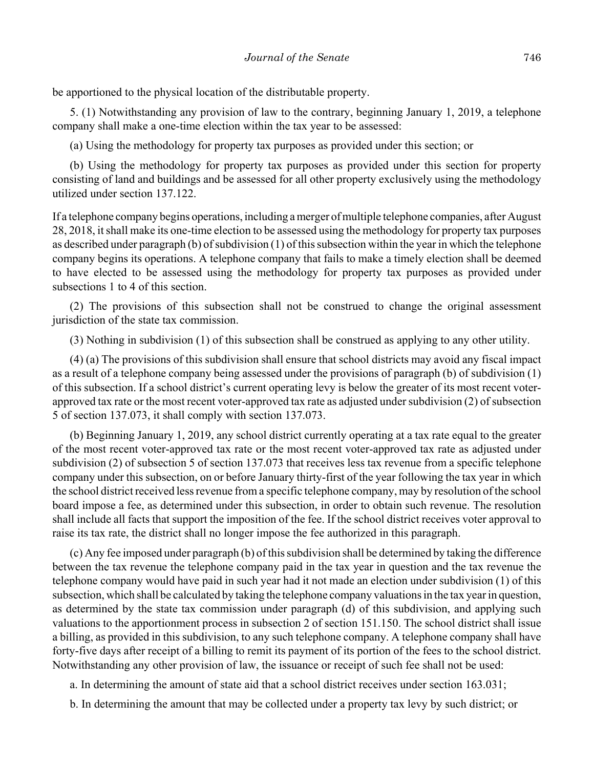be apportioned to the physical location of the distributable property.

5. (1) Notwithstanding any provision of law to the contrary, beginning January 1, 2019, a telephone company shall make a one-time election within the tax year to be assessed:

(a) Using the methodology for property tax purposes as provided under this section; or

(b) Using the methodology for property tax purposes as provided under this section for property consisting of land and buildings and be assessed for all other property exclusively using the methodology utilized under section 137.122.

If a telephone company begins operations, including a merger of multiple telephone companies, after August 28, 2018, it shall make its one-time election to be assessed using the methodology for property tax purposes as described under paragraph (b) of subdivision (1) of this subsection within the year in which the telephone company begins its operations. A telephone company that fails to make a timely election shall be deemed to have elected to be assessed using the methodology for property tax purposes as provided under subsections 1 to 4 of this section.

(2) The provisions of this subsection shall not be construed to change the original assessment jurisdiction of the state tax commission.

(3) Nothing in subdivision (1) of this subsection shall be construed as applying to any other utility.

(4) (a) The provisions of this subdivision shall ensure that school districts may avoid any fiscal impact as a result of a telephone company being assessed under the provisions of paragraph (b) of subdivision (1) of this subsection. If a school district's current operating levy is below the greater of its most recent voterapproved tax rate or the most recent voter-approved tax rate as adjusted under subdivision (2) of subsection 5 of section 137.073, it shall comply with section 137.073.

(b) Beginning January 1, 2019, any school district currently operating at a tax rate equal to the greater of the most recent voter-approved tax rate or the most recent voter-approved tax rate as adjusted under subdivision (2) of subsection 5 of section 137.073 that receives less tax revenue from a specific telephone company under this subsection, on or before January thirty-first of the year following the tax year in which the school district received less revenue from a specific telephone company, may by resolution of the school board impose a fee, as determined under this subsection, in order to obtain such revenue. The resolution shall include all facts that support the imposition of the fee. If the school district receives voter approval to raise its tax rate, the district shall no longer impose the fee authorized in this paragraph.

(c) Any fee imposed under paragraph (b) of this subdivision shall be determined by taking the difference between the tax revenue the telephone company paid in the tax year in question and the tax revenue the telephone company would have paid in such year had it not made an election under subdivision (1) of this subsection, which shall be calculated by taking the telephone company valuations in the tax year in question, as determined by the state tax commission under paragraph (d) of this subdivision, and applying such valuations to the apportionment process in subsection 2 of section 151.150. The school district shall issue a billing, as provided in this subdivision, to any such telephone company. A telephone company shall have forty-five days after receipt of a billing to remit its payment of its portion of the fees to the school district. Notwithstanding any other provision of law, the issuance or receipt of such fee shall not be used:

a. In determining the amount of state aid that a school district receives under section 163.031;

b. In determining the amount that may be collected under a property tax levy by such district; or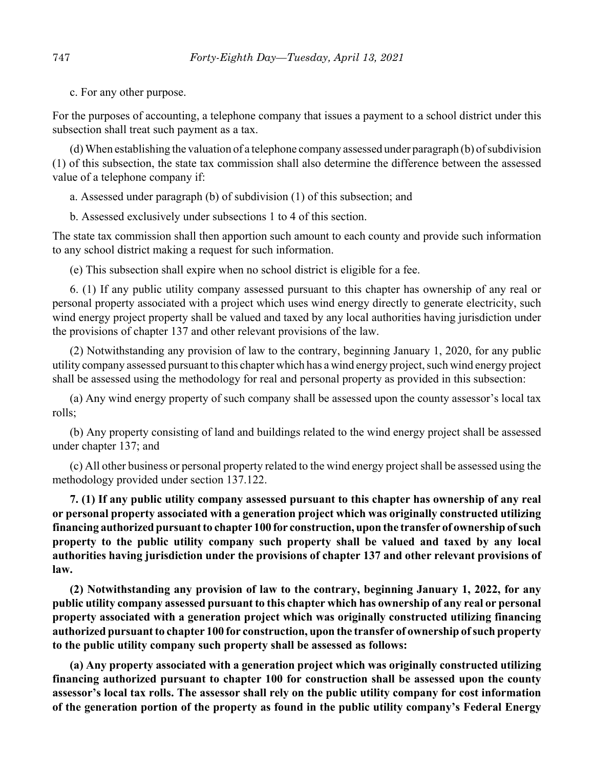c. For any other purpose.

For the purposes of accounting, a telephone company that issues a payment to a school district under this subsection shall treat such payment as a tax.

(d) When establishing the valuation of a telephone company assessed under paragraph (b) of subdivision (1) of this subsection, the state tax commission shall also determine the difference between the assessed value of a telephone company if:

a. Assessed under paragraph (b) of subdivision (1) of this subsection; and

b. Assessed exclusively under subsections 1 to 4 of this section.

The state tax commission shall then apportion such amount to each county and provide such information to any school district making a request for such information.

(e) This subsection shall expire when no school district is eligible for a fee.

6. (1) If any public utility company assessed pursuant to this chapter has ownership of any real or personal property associated with a project which uses wind energy directly to generate electricity, such wind energy project property shall be valued and taxed by any local authorities having jurisdiction under the provisions of chapter 137 and other relevant provisions of the law.

(2) Notwithstanding any provision of law to the contrary, beginning January 1, 2020, for any public utility company assessed pursuant to this chapter which has a wind energy project, such wind energy project shall be assessed using the methodology for real and personal property as provided in this subsection:

(a) Any wind energy property of such company shall be assessed upon the county assessor's local tax rolls;

(b) Any property consisting of land and buildings related to the wind energy project shall be assessed under chapter 137; and

(c) All other business or personal property related to the wind energy project shall be assessed using the methodology provided under section 137.122.

**7. (1) If any public utility company assessed pursuant to this chapter has ownership of any real or personal property associated with a generation project which was originally constructed utilizing financing authorized pursuant to chapter 100 for construction, upon the transfer of ownership of such property to the public utility company such property shall be valued and taxed by any local authorities having jurisdiction under the provisions of chapter 137 and other relevant provisions of law.**

**(2) Notwithstanding any provision of law to the contrary, beginning January 1, 2022, for any public utility company assessed pursuant to this chapter which has ownership of any real or personal property associated with a generation project which was originally constructed utilizing financing authorized pursuant to chapter 100 for construction, upon the transfer of ownership of such property to the public utility company such property shall be assessed as follows:**

**(a) Any property associated with a generation project which was originally constructed utilizing financing authorized pursuant to chapter 100 for construction shall be assessed upon the county assessor's local tax rolls. The assessor shall rely on the public utility company for cost information of the generation portion of the property as found in the public utility company's Federal Energy**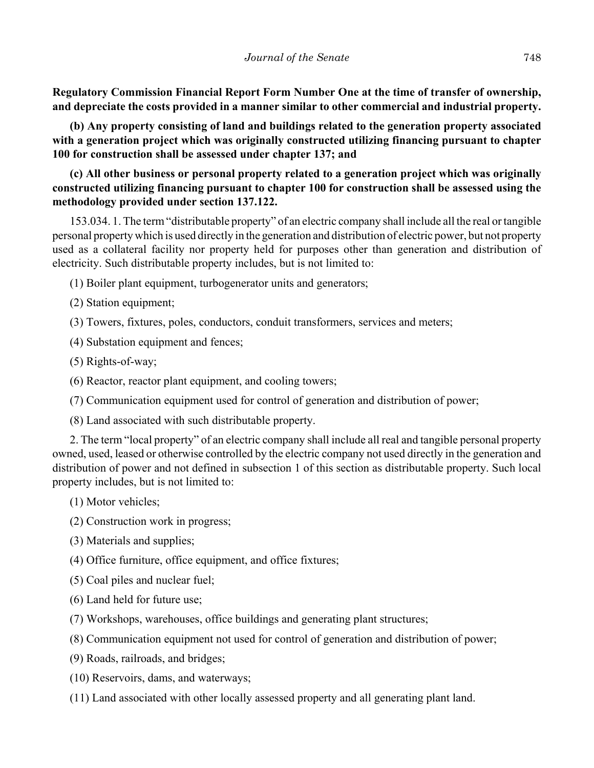**Regulatory Commission Financial Report Form Number One at the time of transfer of ownership, and depreciate the costs provided in a manner similar to other commercial and industrial property.**

**(b) Any property consisting of land and buildings related to the generation property associated with a generation project which was originally constructed utilizing financing pursuant to chapter 100 for construction shall be assessed under chapter 137; and**

**(c) All other business or personal property related to a generation project which was originally constructed utilizing financing pursuant to chapter 100 for construction shall be assessed using the methodology provided under section 137.122.**

153.034. 1. The term "distributable property" of an electric company shall include all the real or tangible personal property which is used directly in the generation and distribution of electric power, but not property used as a collateral facility nor property held for purposes other than generation and distribution of electricity. Such distributable property includes, but is not limited to:

(1) Boiler plant equipment, turbogenerator units and generators;

(2) Station equipment;

- (3) Towers, fixtures, poles, conductors, conduit transformers, services and meters;
- (4) Substation equipment and fences;
- (5) Rights-of-way;
- (6) Reactor, reactor plant equipment, and cooling towers;
- (7) Communication equipment used for control of generation and distribution of power;
- (8) Land associated with such distributable property.

2. The term "local property" of an electric company shall include all real and tangible personal property owned, used, leased or otherwise controlled by the electric company not used directly in the generation and distribution of power and not defined in subsection 1 of this section as distributable property. Such local property includes, but is not limited to:

(1) Motor vehicles;

(2) Construction work in progress;

- (3) Materials and supplies;
- (4) Office furniture, office equipment, and office fixtures;
- (5) Coal piles and nuclear fuel;
- (6) Land held for future use;
- (7) Workshops, warehouses, office buildings and generating plant structures;
- (8) Communication equipment not used for control of generation and distribution of power;
- (9) Roads, railroads, and bridges;
- (10) Reservoirs, dams, and waterways;
- (11) Land associated with other locally assessed property and all generating plant land.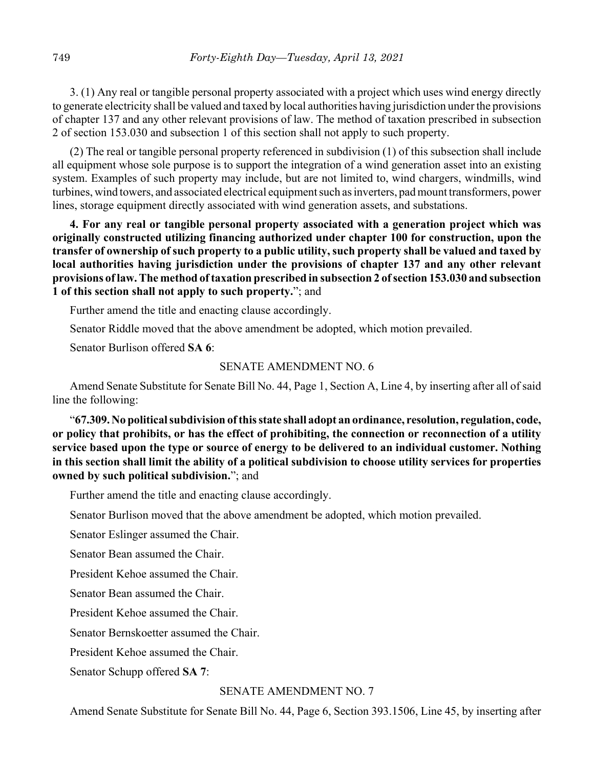3. (1) Any real or tangible personal property associated with a project which uses wind energy directly to generate electricity shall be valued and taxed by local authorities having jurisdiction under the provisions of chapter 137 and any other relevant provisions of law. The method of taxation prescribed in subsection 2 of section 153.030 and subsection 1 of this section shall not apply to such property.

(2) The real or tangible personal property referenced in subdivision (1) of this subsection shall include all equipment whose sole purpose is to support the integration of a wind generation asset into an existing system. Examples of such property may include, but are not limited to, wind chargers, windmills, wind turbines, wind towers, and associated electrical equipment such as inverters, pad mount transformers, power lines, storage equipment directly associated with wind generation assets, and substations.

**4. For any real or tangible personal property associated with a generation project which was originally constructed utilizing financing authorized under chapter 100 for construction, upon the transfer of ownership of such property to a public utility, such property shall be valued and taxed by local authorities having jurisdiction under the provisions of chapter 137 and any other relevant provisions of law. The method of taxation prescribed in subsection 2 of section 153.030 and subsection 1 of this section shall not apply to such property.**"; and

Further amend the title and enacting clause accordingly.

Senator Riddle moved that the above amendment be adopted, which motion prevailed.

Senator Burlison offered **SA 6**:

#### SENATE AMENDMENT NO. 6

Amend Senate Substitute for Senate Bill No. 44, Page 1, Section A, Line 4, by inserting after all of said line the following:

"**67.309. No political subdivision of this state shall adopt an ordinance, resolution, regulation, code, or policy that prohibits, or has the effect of prohibiting, the connection or reconnection of a utility service based upon the type or source of energy to be delivered to an individual customer. Nothing in this section shall limit the ability of a political subdivision to choose utility services for properties owned by such political subdivision.**"; and

Further amend the title and enacting clause accordingly.

Senator Burlison moved that the above amendment be adopted, which motion prevailed.

Senator Eslinger assumed the Chair.

Senator Bean assumed the Chair.

President Kehoe assumed the Chair.

Senator Bean assumed the Chair.

President Kehoe assumed the Chair.

Senator Bernskoetter assumed the Chair.

President Kehoe assumed the Chair.

Senator Schupp offered **SA 7**:

#### SENATE AMENDMENT NO. 7

Amend Senate Substitute for Senate Bill No. 44, Page 6, Section 393.1506, Line 45, by inserting after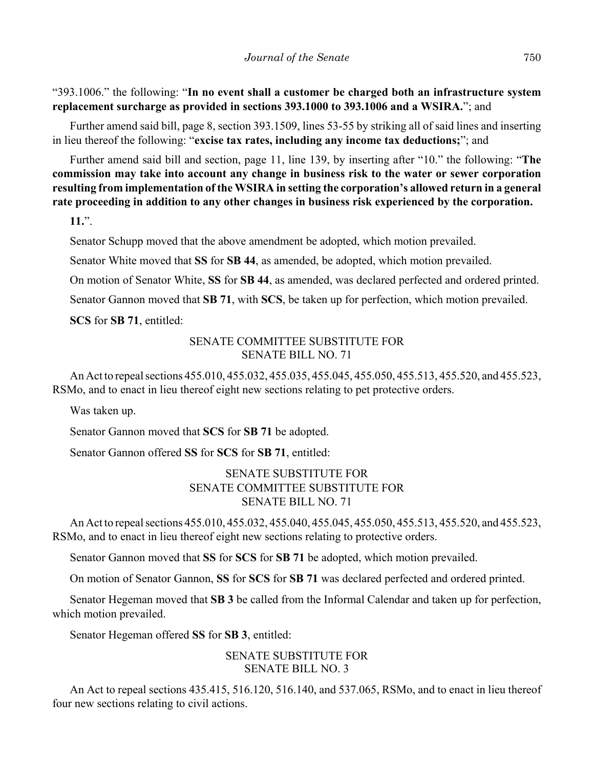"393.1006." the following: "**In no event shall a customer be charged both an infrastructure system replacement surcharge as provided in sections 393.1000 to 393.1006 and a WSIRA.**"; and

Further amend said bill, page 8, section 393.1509, lines 53-55 by striking all of said lines and inserting in lieu thereof the following: "**excise tax rates, including any income tax deductions;**"; and

Further amend said bill and section, page 11, line 139, by inserting after "10." the following: "**The commission may take into account any change in business risk to the water or sewer corporation resulting from implementation of the WSIRA in setting the corporation's allowed return in a general rate proceeding in addition to any other changes in business risk experienced by the corporation.**

**11.**".

Senator Schupp moved that the above amendment be adopted, which motion prevailed.

Senator White moved that **SS** for **SB 44**, as amended, be adopted, which motion prevailed.

On motion of Senator White, **SS** for **SB 44**, as amended, was declared perfected and ordered printed.

Senator Gannon moved that **SB 71**, with **SCS**, be taken up for perfection, which motion prevailed.

**SCS** for **SB 71**, entitled:

# SENATE COMMITTEE SUBSTITUTE FOR SENATE BILL NO. 71

An Act to repeal sections 455.010, 455.032, 455.035, 455.045, 455.050, 455.513, 455.520, and 455.523, RSMo, and to enact in lieu thereof eight new sections relating to pet protective orders.

Was taken up.

Senator Gannon moved that **SCS** for **SB 71** be adopted.

Senator Gannon offered **SS** for **SCS** for **SB 71**, entitled:

# SENATE SUBSTITUTE FOR SENATE COMMITTEE SUBSTITUTE FOR SENATE BILL NO. 71

An Act to repeal sections 455.010, 455.032, 455.040, 455.045, 455.050, 455.513, 455.520, and 455.523, RSMo, and to enact in lieu thereof eight new sections relating to protective orders.

Senator Gannon moved that **SS** for **SCS** for **SB 71** be adopted, which motion prevailed.

On motion of Senator Gannon, **SS** for **SCS** for **SB 71** was declared perfected and ordered printed.

Senator Hegeman moved that **SB 3** be called from the Informal Calendar and taken up for perfection, which motion prevailed.

Senator Hegeman offered **SS** for **SB 3**, entitled:

#### SENATE SUBSTITUTE FOR SENATE BILL NO. 3

An Act to repeal sections 435.415, 516.120, 516.140, and 537.065, RSMo, and to enact in lieu thereof four new sections relating to civil actions.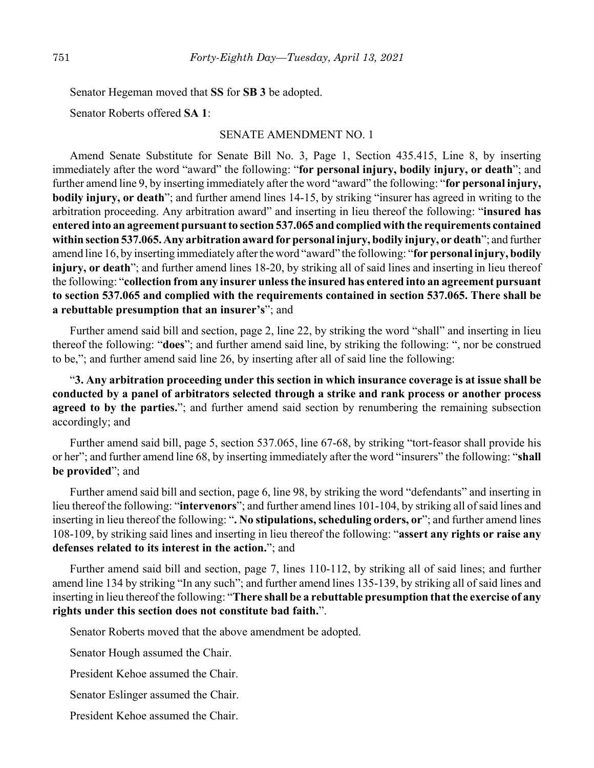Senator Hegeman moved that **SS** for **SB 3** be adopted.

Senator Roberts offered **SA 1**:

#### SENATE AMENDMENT NO. 1

Amend Senate Substitute for Senate Bill No. 3, Page 1, Section 435.415, Line 8, by inserting immediately after the word "award" the following: "**for personal injury, bodily injury, or death**"; and further amend line 9, by inserting immediately after the word "award" the following: "**for personal injury, bodily injury, or death**"; and further amend lines 14-15, by striking "insurer has agreed in writing to the arbitration proceeding. Any arbitration award" and inserting in lieu thereof the following: "**insured has entered into an agreement pursuant to section 537.065 and complied with the requirements contained within section 537.065. Any arbitration award for personal injury, bodily injury, or death**"; and further amend line 16, by inserting immediately after the word "award" the following: "**for personal injury, bodily injury, or death**"; and further amend lines 18-20, by striking all of said lines and inserting in lieu thereof the following: "**collection from any insurer unless the insured has entered into an agreement pursuant to section 537.065 and complied with the requirements contained in section 537.065. There shall be a rebuttable presumption that an insurer's**"; and

Further amend said bill and section, page 2, line 22, by striking the word "shall" and inserting in lieu thereof the following: "**does**"; and further amend said line, by striking the following: ", nor be construed to be,"; and further amend said line 26, by inserting after all of said line the following:

"**3. Any arbitration proceeding under this section in which insurance coverage is at issue shall be conducted by a panel of arbitrators selected through a strike and rank process or another process agreed to by the parties.**"; and further amend said section by renumbering the remaining subsection accordingly; and

Further amend said bill, page 5, section 537.065, line 67-68, by striking "tort-feasor shall provide his or her"; and further amend line 68, by inserting immediately after the word "insurers" the following: "**shall be provided**"; and

Further amend said bill and section, page 6, line 98, by striking the word "defendants" and inserting in lieu thereof the following: "**intervenors**"; and further amend lines 101-104, by striking all of said lines and inserting in lieu thereof the following: "**. No stipulations, scheduling orders, or**"; and further amend lines 108-109, by striking said lines and inserting in lieu thereof the following: "**assert any rights or raise any defenses related to its interest in the action.**"; and

Further amend said bill and section, page 7, lines 110-112, by striking all of said lines; and further amend line 134 by striking "In any such"; and further amend lines 135-139, by striking all of said lines and inserting in lieu thereof the following: "**There shall be a rebuttable presumption that the exercise of any rights under this section does not constitute bad faith.**".

Senator Roberts moved that the above amendment be adopted.

Senator Hough assumed the Chair.

President Kehoe assumed the Chair.

Senator Eslinger assumed the Chair.

President Kehoe assumed the Chair.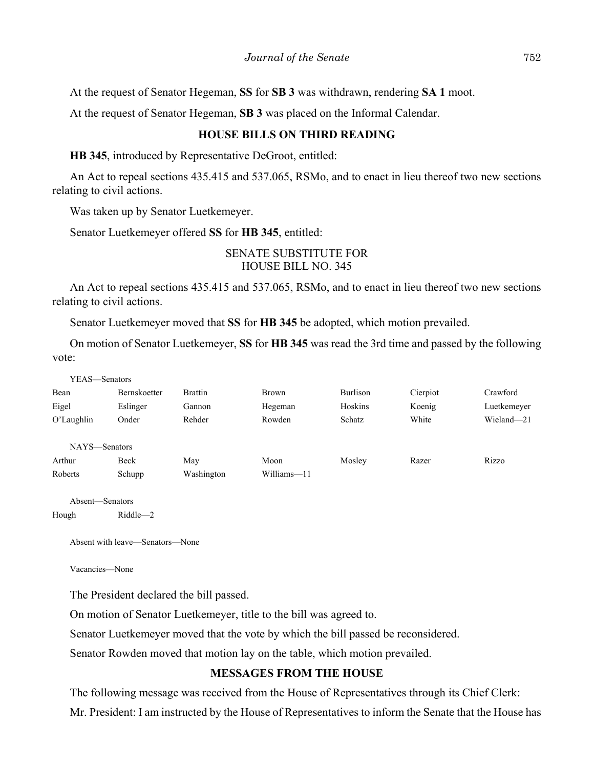At the request of Senator Hegeman, **SS** for **SB 3** was withdrawn, rendering **SA 1** moot.

At the request of Senator Hegeman, **SB 3** was placed on the Informal Calendar.

# **HOUSE BILLS ON THIRD READING**

**HB 345**, introduced by Representative DeGroot, entitled:

An Act to repeal sections 435.415 and 537.065, RSMo, and to enact in lieu thereof two new sections relating to civil actions.

Was taken up by Senator Luetkemeyer.

Senator Luetkemeyer offered **SS** for **HB 345**, entitled:

#### SENATE SUBSTITUTE FOR HOUSE BILL NO. 345

An Act to repeal sections 435.415 and 537.065, RSMo, and to enact in lieu thereof two new sections relating to civil actions.

Senator Luetkemeyer moved that **SS** for **HB 345** be adopted, which motion prevailed.

On motion of Senator Luetkemeyer, **SS** for **HB 345** was read the 3rd time and passed by the following vote:

| YEAS—Senators   |                     |                |              |                 |          |             |
|-----------------|---------------------|----------------|--------------|-----------------|----------|-------------|
| Bean            | <b>Bernskoetter</b> | <b>Brattin</b> | <b>Brown</b> | <b>Burlison</b> | Cierpiot | Crawford    |
| Eigel           | Eslinger            | Gannon         | Hegeman      | Hoskins         | Koenig   | Luetkemeyer |
| O'Laughlin      | Onder               | Rehder         | Rowden       | Schatz          | White    | Wieland-21  |
| NAYS-Senators   |                     |                |              |                 |          |             |
| Arthur          | Beck                | May            | Moon         | Mosley          | Razer    | Rizzo       |
| Roberts         | Schupp              | Washington     | Williams-11  |                 |          |             |
| Absent—Senators |                     |                |              |                 |          |             |
| Hough           | $Riddle - 2$        |                |              |                 |          |             |

Absent with leave—Senators—None

Vacancies—None

The President declared the bill passed.

On motion of Senator Luetkemeyer, title to the bill was agreed to.

Senator Luetkemeyer moved that the vote by which the bill passed be reconsidered.

Senator Rowden moved that motion lay on the table, which motion prevailed.

# **MESSAGES FROM THE HOUSE**

The following message was received from the House of Representatives through its Chief Clerk:

Mr. President: I am instructed by the House of Representatives to inform the Senate that the House has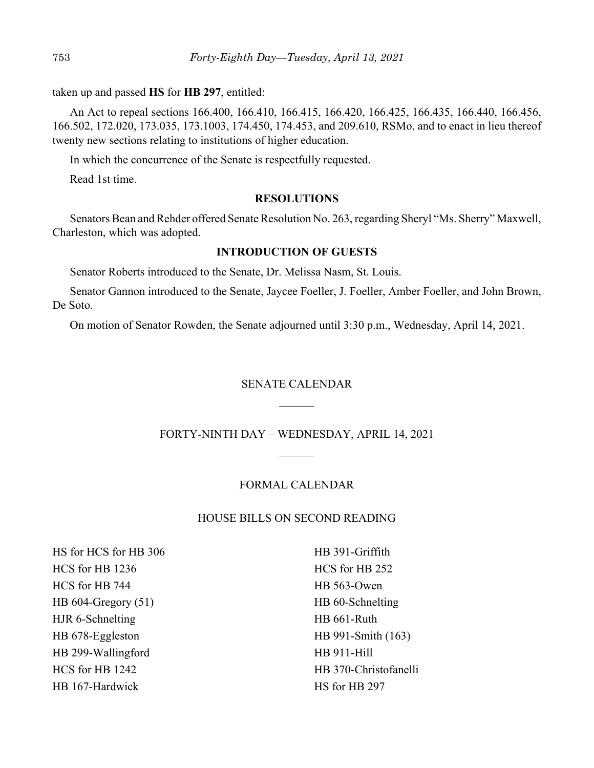taken up and passed **HS** for **HB 297**, entitled:

An Act to repeal sections 166.400, 166.410, 166.415, 166.420, 166.425, 166.435, 166.440, 166.456, 166.502, 172.020, 173.035, 173.1003, 174.450, 174.453, and 209.610, RSMo, and to enact in lieu thereof twenty new sections relating to institutions of higher education.

In which the concurrence of the Senate is respectfully requested.

Read 1st time.

#### **RESOLUTIONS**

Senators Bean and Rehder offered Senate Resolution No. 263, regarding Sheryl "Ms. Sherry" Maxwell, Charleston, which was adopted.

# **INTRODUCTION OF GUESTS**

Senator Roberts introduced to the Senate, Dr. Melissa Nasm, St. Louis.

Senator Gannon introduced to the Senate, Jaycee Foeller, J. Foeller, Amber Foeller, and John Brown, De Soto.

On motion of Senator Rowden, the Senate adjourned until 3:30 p.m., Wednesday, April 14, 2021.

# SENATE CALENDAR

FORTY-NINTH DAY – WEDNESDAY, APRIL 14, 2021  $\mathcal{L}$ 

#### FORMAL CALENDAR

# HOUSE BILLS ON SECOND READING

HS for HCS for HB 306 HCS for HB 1236 HCS for HB 744 HB 604-Gregory (51) HJR 6-Schnelting HB 678-Eggleston HB 299-Wallingford HCS for HB 1242 HB 167-Hardwick

HB 391-Griffith HCS for HB 252 HB 563-Owen HB 60-Schnelting HB 661-Ruth HB 991-Smith (163) HB 911-Hill HB 370-Christofanelli HS for HB 297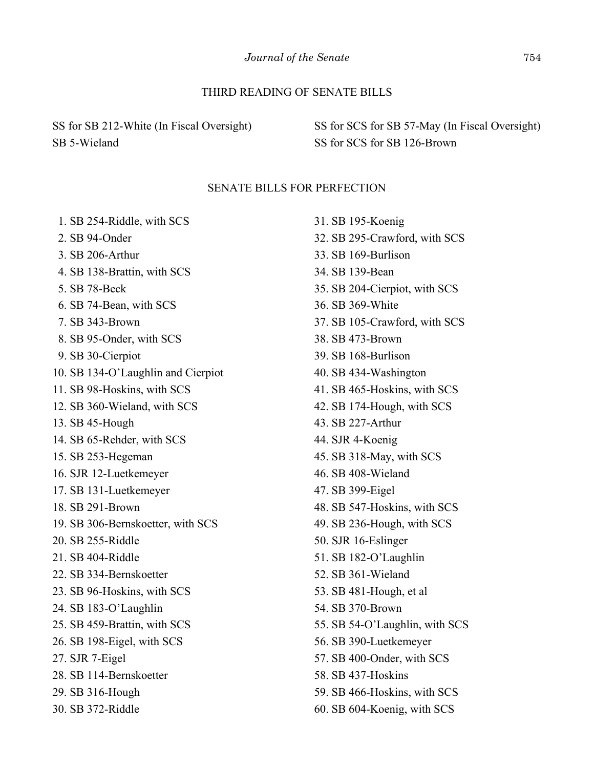# THIRD READING OF SENATE BILLS

SS for SB 212-White (In Fiscal Oversight) SB 5-Wieland

SS for SCS for SB 57-May (In Fiscal Oversight) SS for SCS for SB 126-Brown

#### SENATE BILLS FOR PERFECTION

 1. SB 254-Riddle, with SCS 2. SB 94-Onder 3. SB 206-Arthur 4. SB 138-Brattin, with SCS 5. SB 78-Beck 6. SB 74-Bean, with SCS 7. SB 343-Brown 8. SB 95-Onder, with SCS 9. SB 30-Cierpiot 10. SB 134-O'Laughlin and Cierpiot 11. SB 98-Hoskins, with SCS 12. SB 360-Wieland, with SCS 13. SB 45-Hough 14. SB 65-Rehder, with SCS 15. SB 253-Hegeman 16. SJR 12-Luetkemeyer 17. SB 131-Luetkemeyer 18. SB 291-Brown 19. SB 306-Bernskoetter, with SCS 20. SB 255-Riddle 21. SB 404-Riddle 22. SB 334-Bernskoetter 23. SB 96-Hoskins, with SCS 24. SB 183-O'Laughlin 25. SB 459-Brattin, with SCS 26. SB 198-Eigel, with SCS 27. SJR 7-Eigel 28. SB 114-Bernskoetter 29. SB 316-Hough

30. SB 372-Riddle

31. SB 195-Koenig 32. SB 295-Crawford, with SCS 33. SB 169-Burlison 34. SB 139-Bean 35. SB 204-Cierpiot, with SCS 36. SB 369-White 37. SB 105-Crawford, with SCS 38. SB 473-Brown 39. SB 168-Burlison 40. SB 434-Washington 41. SB 465-Hoskins, with SCS 42. SB 174-Hough, with SCS 43. SB 227-Arthur 44. SJR 4-Koenig 45. SB 318-May, with SCS 46. SB 408-Wieland 47. SB 399-Eigel 48. SB 547-Hoskins, with SCS 49. SB 236-Hough, with SCS 50. SJR 16-Eslinger 51. SB 182-O'Laughlin 52. SB 361-Wieland 53. SB 481-Hough, et al 54. SB 370-Brown 55. SB 54-O'Laughlin, with SCS 56. SB 390-Luetkemeyer 57. SB 400-Onder, with SCS 58. SB 437-Hoskins 59. SB 466-Hoskins, with SCS 60. SB 604-Koenig, with SCS